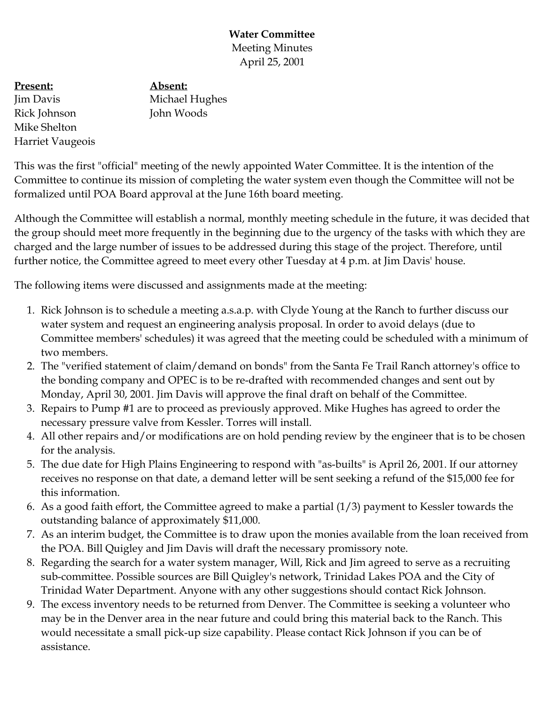## **Water Committee** Meeting Minutes April 25, 2001

**Present:** Jim Davis Rick Johnson Mike Shelton Harriet Vaugeois **Absent:** Michael Hughes John Woods

This was the first "official" meeting of the newly appointed Water Committee. It is the intention of the Committee to continue its mission of completing the water system even though the Committee will not be formalized until POA Board approval at the June 16th board meeting.

Although the Committee will establish a normal, monthly meeting schedule in the future, it was decided that the group should meet more frequently in the beginning due to the urgency of the tasks with which they are charged and the large number of issues to be addressed during this stage of the project. Therefore, until further notice, the Committee agreed to meet every other Tuesday at 4 p.m. at Jim Davis' house.

The following items were discussed and assignments made at the meeting:

- 1. Rick Johnson is to schedule a meeting a.s.a.p. with Clyde Young at the Ranch to further discuss our water system and request an engineering analysis proposal. In order to avoid delays (due to Committee members' schedules) it was agreed that the meeting could be scheduled with a minimum of two members.
- 2. The "verified statement of claim/demand on bonds" from the Santa Fe Trail Ranch attorney's office to the bonding company and OPEC is to be re-drafted with recommended changes and sent out by Monday, April 30, 2001. Jim Davis will approve the final draft on behalf of the Committee.
- 3. Repairs to Pump #1 are to proceed as previously approved. Mike Hughes has agreed to order the necessary pressure valve from Kessler. Torres will install.
- 4. All other repairs and/or modifications are on hold pending review by the engineer that is to be chosen for the analysis.
- 5. The due date for High Plains Engineering to respond with "as-builts" is April 26, 2001. If our attorney receives no response on that date, a demand letter will be sent seeking a refund of the \$15,000 fee for this information.
- 6. As a good faith effort, the Committee agreed to make a partial (1/3) payment to Kessler towards the outstanding balance of approximately \$11,000.
- 7. As an interim budget, the Committee is to draw upon the monies available from the loan received from the POA. Bill Quigley and Jim Davis will draft the necessary promissory note.
- 8. Regarding the search for a water system manager, Will, Rick and Jim agreed to serve as a recruiting sub-committee. Possible sources are Bill Quigley's network, Trinidad Lakes POA and the City of Trinidad Water Department. Anyone with any other suggestions should contact Rick Johnson.
- 9. The excess inventory needs to be returned from Denver. The Committee is seeking a volunteer who may be in the Denver area in the near future and could bring this material back to the Ranch. This would necessitate a small pick-up size capability. Please contact Rick Johnson if you can be of assistance.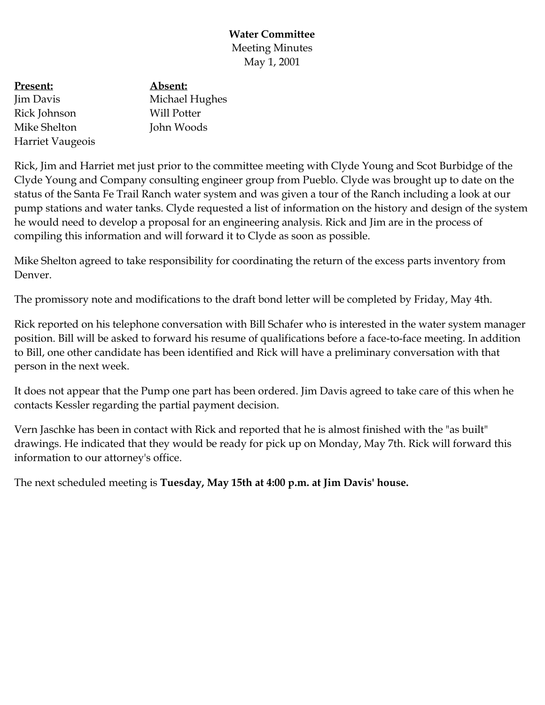## **Water Committee** Meeting Minutes May 1, 2001

**Present:** Jim Davis Rick Johnson Mike Shelton Harriet Vaugeois

**Absent:** Michael Hughes Will Potter John Woods

Rick, Jim and Harriet met just prior to the committee meeting with Clyde Young and Scot Burbidge of the Clyde Young and Company consulting engineer group from Pueblo. Clyde was brought up to date on the status of the Santa Fe Trail Ranch water system and was given a tour of the Ranch including a look at our pump stations and water tanks. Clyde requested a list of information on the history and design of the system he would need to develop a proposal for an engineering analysis. Rick and Jim are in the process of compiling this information and will forward it to Clyde as soon as possible.

Mike Shelton agreed to take responsibility for coordinating the return of the excess parts inventory from Denver.

The promissory note and modifications to the draft bond letter will be completed by Friday, May 4th.

Rick reported on his telephone conversation with Bill Schafer who is interested in the water system manager position. Bill will be asked to forward his resume of qualifications before a face-to-face meeting. In addition to Bill, one other candidate has been identified and Rick will have a preliminary conversation with that person in the next week.

It does not appear that the Pump one part has been ordered. Jim Davis agreed to take care of this when he contacts Kessler regarding the partial payment decision.

Vern Jaschke has been in contact with Rick and reported that he is almost finished with the "as built" drawings. He indicated that they would be ready for pick up on Monday, May 7th. Rick will forward this information to our attorney's office.

The next scheduled meeting is **Tuesday, May 15th at 4:00 p.m. at Jim Davis' house.**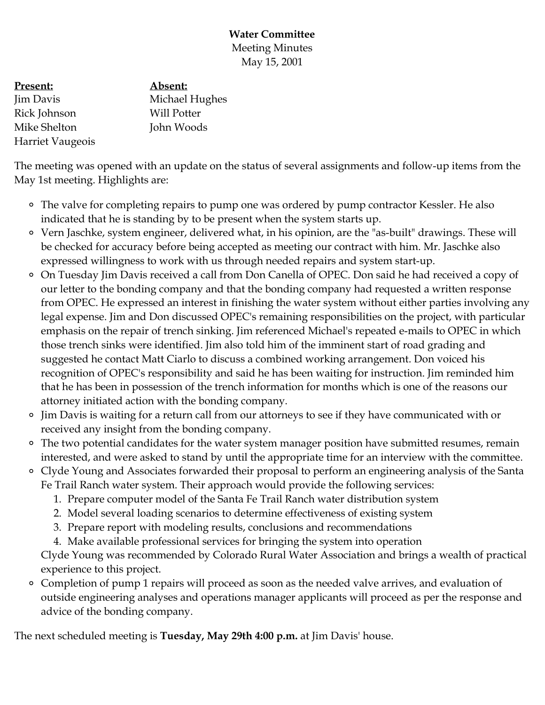## **Water Committee** Meeting Minutes May 15, 2001

**Present:** Jim Davis Rick Johnson Mike Shelton Harriet Vaugeois **Absent:** Michael Hughes Will Potter John Woods

The meeting was opened with an update on the status of several assignments and follow-up items from the May 1st meeting. Highlights are:

- The valve for completing repairs to pump one was ordered by pump contractor Kessler. He also indicated that he is standing by to be present when the system starts up.
- Vern Jaschke, system engineer, delivered what, in his opinion, are the "as-built" drawings. These will be checked for accuracy before being accepted as meeting our contract with him. Mr. Jaschke also expressed willingness to work with us through needed repairs and system start-up.
- On Tuesday Jim Davis received a call from Don Canella of OPEC. Don said he had received a copy of our letter to the bonding company and that the bonding company had requested a written response from OPEC. He expressed an interest in finishing the water system without either parties involving any legal expense. Jim and Don discussed OPEC's remaining responsibilities on the project, with particular emphasis on the repair of trench sinking. Jim referenced Michael's repeated e-mails to OPEC in which those trench sinks were identified. Jim also told him of the imminent start of road grading and suggested he contact Matt Ciarlo to discuss a combined working arrangement. Don voiced his recognition of OPEC's responsibility and said he has been waiting for instruction. Jim reminded him that he has been in possession of the trench information for months which is one of the reasons our attorney initiated action with the bonding company.
- Jim Davis is waiting for a return call from our attorneys to see if they have communicated with or received any insight from the bonding company.
- The two potential candidates for the water system manager position have submitted resumes, remain interested, and were asked to stand by until the appropriate time for an interview with the committee.
- Clyde Young and Associates forwarded their proposal to perform an engineering analysis of the Santa Fe Trail Ranch water system. Their approach would provide the following services:
	- 1. Prepare computer model of the Santa Fe Trail Ranch water distribution system
	- 2. Model several loading scenarios to determine effectiveness of existing system
	- 3. Prepare report with modeling results, conclusions and recommendations
	- 4. Make available professional services for bringing the system into operation

Clyde Young was recommended by Colorado Rural Water Association and brings a wealth of practical experience to this project.

Completion of pump 1 repairs will proceed as soon as the needed valve arrives, and evaluation of outside engineering analyses and operations manager applicants will proceed as per the response and advice of the bonding company.

The next scheduled meeting is **Tuesday, May 29th 4:00 p.m.** at Jim Davis' house.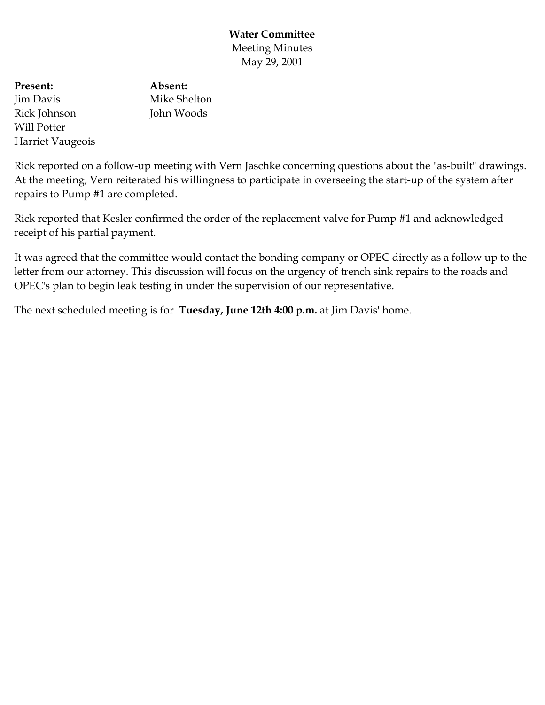**Water Committee** Meeting Minutes May 29, 2001

**Present:** Jim Davis Rick Johnson Will Potter Harriet Vaugeois

**Absent:** Mike Shelton John Woods

Rick reported on a follow-up meeting with Vern Jaschke concerning questions about the "as-built" drawings. At the meeting, Vern reiterated his willingness to participate in overseeing the start-up of the system after repairs to Pump #1 are completed.

Rick reported that Kesler confirmed the order of the replacement valve for Pump #1 and acknowledged receipt of his partial payment.

It was agreed that the committee would contact the bonding company or OPEC directly as a follow up to the letter from our attorney. This discussion will focus on the urgency of trench sink repairs to the roads and OPEC's plan to begin leak testing in under the supervision of our representative.

The next scheduled meeting is for **Tuesday, June 12th 4:00 p.m.** at Jim Davis' home.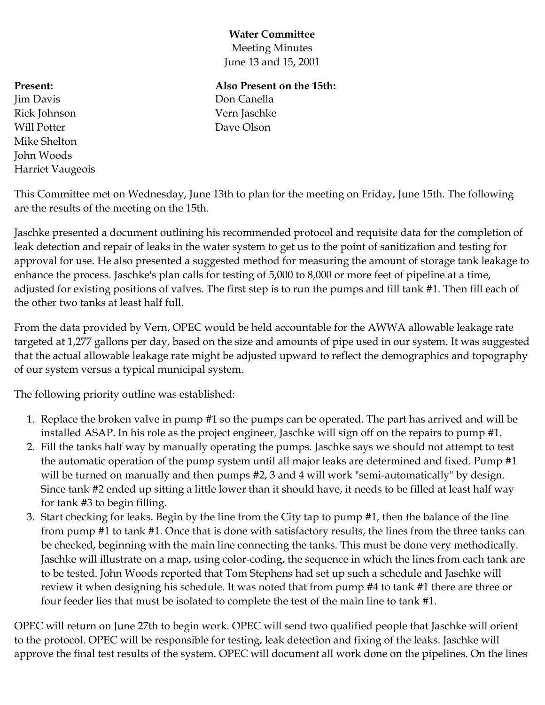# **Water Committee**

Meeting Minutes June 13 and 15, 2001

# **Present:**

Jim Davis Rick Johnson Will Potter Mike Shelton John Woods Harriet Vaugeois

# **Also Present on the 15th:**

Don Canella Vern Jaschke Dave Olson

This Committee met on Wednesday, June 13th to plan for the meeting on Friday, June 15th. The following are the results of the meeting on the 15th.

Jaschke presented a document outlining his recommended protocol and requisite data for the completion of leak detection and repair of leaks in the water system to get us to the point of sanitization and testing for approval for use. He also presented a suggested method for measuring the amount of storage tank leakage to enhance the process. Jaschke's plan calls for testing of 5,000 to 8,000 or more feet of pipeline at a time, adjusted for existing positions of valves. The first step is to run the pumps and fill tank #1. Then fill each of the other two tanks at least half full.

From the data provided by Vern, OPEC would be held accountable for the AWWA allowable leakage rate targeted at 1,277 gallons per day, based on the size and amounts of pipe used in our system. It was suggested that the actual allowable leakage rate might be adjusted upward to reflect the demographics and topography of our system versus a typical municipal system.

The following priority outline was established:

- 1. Replace the broken valve in pump #1 so the pumps can be operated. The part has arrived and will be installed ASAP. In his role as the project engineer, Jaschke will sign off on the repairs to pump #1.
- 2. Fill the tanks half way by manually operating the pumps. Jaschke says we should not attempt to test the automatic operation of the pump system until all major leaks are determined and fixed. Pump #1 will be turned on manually and then pumps #2, 3 and 4 will work "semi-automatically" by design. Since tank #2 ended up sitting a little lower than it should have, it needs to be filled at least half way for tank #3 to begin filling.
- 3. Start checking for leaks. Begin by the line from the City tap to pump #1, then the balance of the line from pump #1 to tank #1. Once that is done with satisfactory results, the lines from the three tanks can be checked, beginning with the main line connecting the tanks. This must be done very methodically. Jaschke will illustrate on a map, using color-coding, the sequence in which the lines from each tank are to be tested. John Woods reported that Tom Stephens had set up such a schedule and Jaschke will review it when designing his schedule. It was noted that from pump #4 to tank #1 there are three or four feeder lies that must be isolated to complete the test of the main line to tank #1.

OPEC will return on June 27th to begin work. OPEC will send two qualified people that Jaschke will orient to the protocol. OPEC will be responsible for testing, leak detection and fixing of the leaks. Jaschke will approve the final test results of the system. OPEC will document all work done on the pipelines. On the lines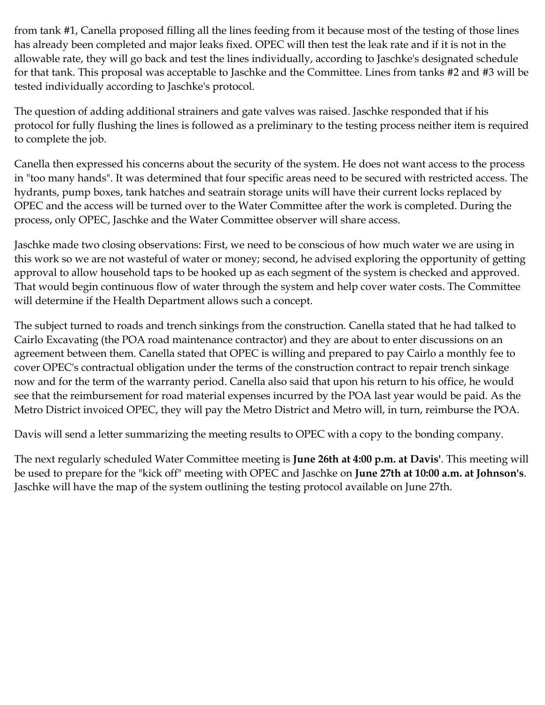from tank #1, Canella proposed filling all the lines feeding from it because most of the testing of those lines has already been completed and major leaks fixed. OPEC will then test the leak rate and if it is not in the allowable rate, they will go back and test the lines individually, according to Jaschke's designated schedule for that tank. This proposal was acceptable to Jaschke and the Committee. Lines from tanks #2 and #3 will be tested individually according to Jaschke's protocol.

The question of adding additional strainers and gate valves was raised. Jaschke responded that if his protocol for fully flushing the lines is followed as a preliminary to the testing process neither item is required to complete the job.

Canella then expressed his concerns about the security of the system. He does not want access to the process in "too many hands". It was determined that four specific areas need to be secured with restricted access. The hydrants, pump boxes, tank hatches and seatrain storage units will have their current locks replaced by OPEC and the access will be turned over to the Water Committee after the work is completed. During the process, only OPEC, Jaschke and the Water Committee observer will share access.

Jaschke made two closing observations: First, we need to be conscious of how much water we are using in this work so we are not wasteful of water or money; second, he advised exploring the opportunity of getting approval to allow household taps to be hooked up as each segment of the system is checked and approved. That would begin continuous flow of water through the system and help cover water costs. The Committee will determine if the Health Department allows such a concept.

The subject turned to roads and trench sinkings from the construction. Canella stated that he had talked to Cairlo Excavating (the POA road maintenance contractor) and they are about to enter discussions on an agreement between them. Canella stated that OPEC is willing and prepared to pay Cairlo a monthly fee to cover OPEC's contractual obligation under the terms of the construction contract to repair trench sinkage now and for the term of the warranty period. Canella also said that upon his return to his office, he would see that the reimbursement for road material expenses incurred by the POA last year would be paid. As the Metro District invoiced OPEC, they will pay the Metro District and Metro will, in turn, reimburse the POA.

Davis will send a letter summarizing the meeting results to OPEC with a copy to the bonding company.

The next regularly scheduled Water Committee meeting is **June 26th at 4:00 p.m. at Davis'**. This meeting will be used to prepare for the "kick off" meeting with OPEC and Jaschke on **June 27th at 10:00 a.m. at Johnson's**. Jaschke will have the map of the system outlining the testing protocol available on June 27th.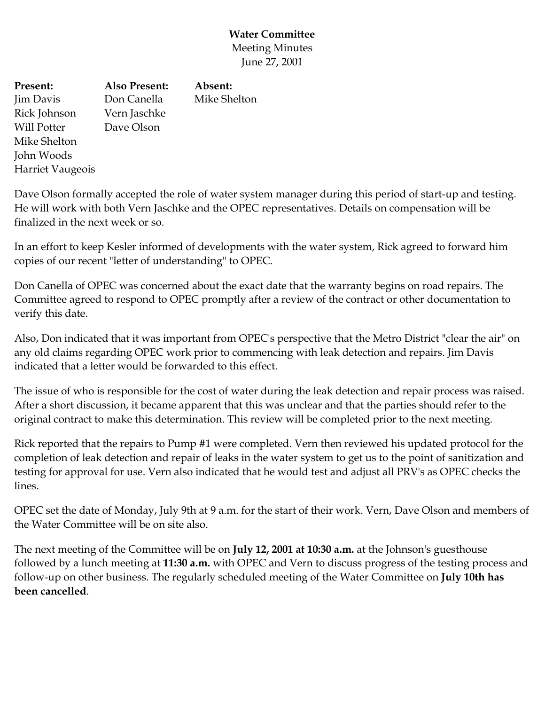## **Water Committee** Meeting Minutes June 27, 2001

**Present:** Jim Davis Rick Johnson Will Potter Mike Shelton John Woods Harriet Vaugeois **Also Present:** Don Canella Vern Jaschke Dave Olson **Absent:** Mike Shelton

Dave Olson formally accepted the role of water system manager during this period of start-up and testing. He will work with both Vern Jaschke and the OPEC representatives. Details on compensation will be finalized in the next week or so.

In an effort to keep Kesler informed of developments with the water system, Rick agreed to forward him copies of our recent "letter of understanding" to OPEC.

Don Canella of OPEC was concerned about the exact date that the warranty begins on road repairs. The Committee agreed to respond to OPEC promptly after a review of the contract or other documentation to verify this date.

Also, Don indicated that it was important from OPEC's perspective that the Metro District "clear the air" on any old claims regarding OPEC work prior to commencing with leak detection and repairs. Jim Davis indicated that a letter would be forwarded to this effect.

The issue of who is responsible for the cost of water during the leak detection and repair process was raised. After a short discussion, it became apparent that this was unclear and that the parties should refer to the original contract to make this determination. This review will be completed prior to the next meeting.

Rick reported that the repairs to Pump #1 were completed. Vern then reviewed his updated protocol for the completion of leak detection and repair of leaks in the water system to get us to the point of sanitization and testing for approval for use. Vern also indicated that he would test and adjust all PRV's as OPEC checks the lines.

OPEC set the date of Monday, July 9th at 9 a.m. for the start of their work. Vern, Dave Olson and members of the Water Committee will be on site also.

The next meeting of the Committee will be on **July 12, 2001 at 10:30 a.m.** at the Johnson's guesthouse followed by a lunch meeting at **11:30 a.m.** with OPEC and Vern to discuss progress of the testing process and follow-up on other business. The regularly scheduled meeting of the Water Committee on **July 10th has been cancelled**.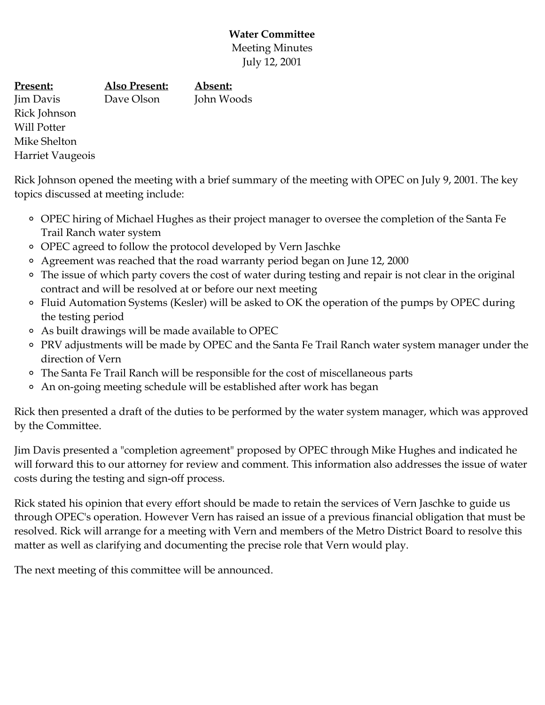# **Water Committee** Meeting Minutes July 12, 2001

| <u>Present:</u>         | <b>Also Present:</b> | Absent:    |
|-------------------------|----------------------|------------|
| Jim Davis               | Dave Olson           | John Woods |
| Rick Johnson            |                      |            |
| Will Potter             |                      |            |
| Mike Shelton            |                      |            |
| <b>Harriet Vaugeois</b> |                      |            |

Rick Johnson opened the meeting with a brief summary of the meeting with OPEC on July 9, 2001. The key topics discussed at meeting include:

- OPEC hiring of Michael Hughes as their project manager to oversee the completion of the Santa Fe Trail Ranch water system
- OPEC agreed to follow the protocol developed by Vern Jaschke
- Agreement was reached that the road warranty period began on June 12, 2000
- The issue of which party covers the cost of water during testing and repair is not clear in the original contract and will be resolved at or before our next meeting
- Fluid Automation Systems (Kesler) will be asked to OK the operation of the pumps by OPEC during the testing period
- As built drawings will be made available to OPEC
- PRV adjustments will be made by OPEC and the Santa Fe Trail Ranch water system manager under the direction of Vern
- The Santa Fe Trail Ranch will be responsible for the cost of miscellaneous parts
- An on-going meeting schedule will be established after work has began

Rick then presented a draft of the duties to be performed by the water system manager, which was approved by the Committee.

Jim Davis presented a "completion agreement" proposed by OPEC through Mike Hughes and indicated he will forward this to our attorney for review and comment. This information also addresses the issue of water costs during the testing and sign-off process.

Rick stated his opinion that every effort should be made to retain the services of Vern Jaschke to guide us through OPEC's operation. However Vern has raised an issue of a previous financial obligation that must be resolved. Rick will arrange for a meeting with Vern and members of the Metro District Board to resolve this matter as well as clarifying and documenting the precise role that Vern would play.

The next meeting of this committee will be announced.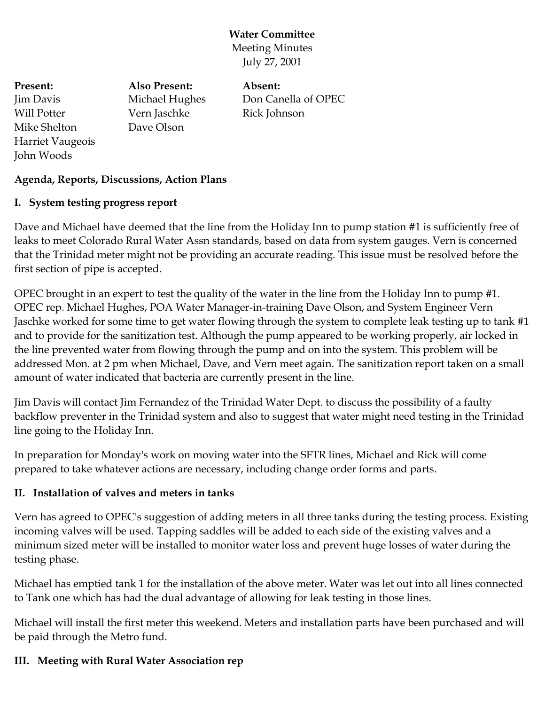#### **Water Committee** Meeting Minutes

July 27, 2001

**Present:** Jim Davis Will Potter Mike Shelton Harriet Vaugeois John Woods **Also Present:** Michael Hughes Vern Jaschke Dave Olson

**Absent:** Don Canella of OPEC Rick Johnson

# **Agenda, Reports, Discussions, Action Plans**

#### **I. System testing progress report**

Dave and Michael have deemed that the line from the Holiday Inn to pump station #1 is sufficiently free of leaks to meet Colorado Rural Water Assn standards, based on data from system gauges. Vern is concerned that the Trinidad meter might not be providing an accurate reading. This issue must be resolved before the first section of pipe is accepted.

OPEC brought in an expert to test the quality of the water in the line from the Holiday Inn to pump #1. OPEC rep. Michael Hughes, POA Water Manager-in-training Dave Olson, and System Engineer Vern Jaschke worked for some time to get water flowing through the system to complete leak testing up to tank #1 and to provide for the sanitization test. Although the pump appeared to be working properly, air locked in the line prevented water from flowing through the pump and on into the system. This problem will be addressed Mon. at 2 pm when Michael, Dave, and Vern meet again. The sanitization report taken on a small amount of water indicated that bacteria are currently present in the line.

Jim Davis will contact Jim Fernandez of the Trinidad Water Dept. to discuss the possibility of a faulty backflow preventer in the Trinidad system and also to suggest that water might need testing in the Trinidad line going to the Holiday Inn.

In preparation for Monday's work on moving water into the SFTR lines, Michael and Rick will come prepared to take whatever actions are necessary, including change order forms and parts.

## **II. Installation of valves and meters in tanks**

Vern has agreed to OPEC's suggestion of adding meters in all three tanks during the testing process. Existing incoming valves will be used. Tapping saddles will be added to each side of the existing valves and a minimum sized meter will be installed to monitor water loss and prevent huge losses of water during the testing phase.

Michael has emptied tank 1 for the installation of the above meter. Water was let out into all lines connected to Tank one which has had the dual advantage of allowing for leak testing in those lines.

Michael will install the first meter this weekend. Meters and installation parts have been purchased and will be paid through the Metro fund.

## **III. Meeting with Rural Water Association rep**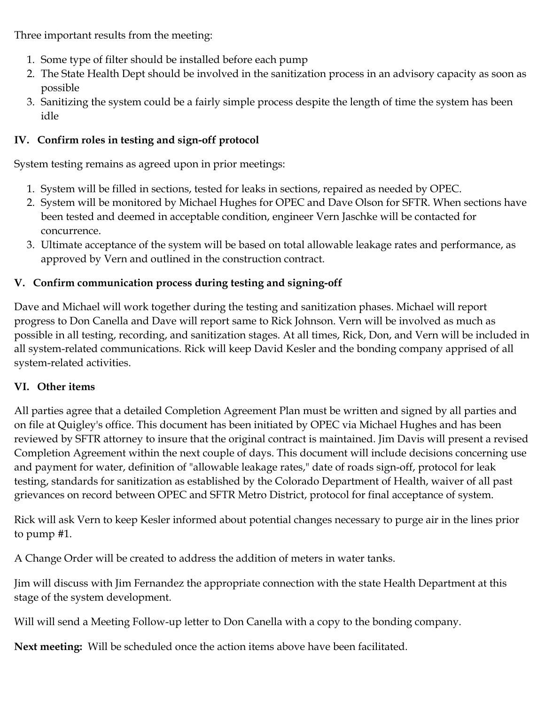Three important results from the meeting:

- 1. Some type of filter should be installed before each pump
- 2. The State Health Dept should be involved in the sanitization process in an advisory capacity as soon as possible
- 3. Sanitizing the system could be a fairly simple process despite the length of time the system has been idle

# **IV. Confirm roles in testing and sign-off protocol**

System testing remains as agreed upon in prior meetings:

- 1. System will be filled in sections, tested for leaks in sections, repaired as needed by OPEC.
- 2. System will be monitored by Michael Hughes for OPEC and Dave Olson for SFTR. When sections have been tested and deemed in acceptable condition, engineer Vern Jaschke will be contacted for concurrence.
- 3. Ultimate acceptance of the system will be based on total allowable leakage rates and performance, as approved by Vern and outlined in the construction contract.

# **V. Confirm communication process during testing and signing-off**

Dave and Michael will work together during the testing and sanitization phases. Michael will report progress to Don Canella and Dave will report same to Rick Johnson. Vern will be involved as much as possible in all testing, recording, and sanitization stages. At all times, Rick, Don, and Vern will be included in all system-related communications. Rick will keep David Kesler and the bonding company apprised of all system-related activities.

## **VI. Other items**

All parties agree that a detailed Completion Agreement Plan must be written and signed by all parties and on file at Quigley's office. This document has been initiated by OPEC via Michael Hughes and has been reviewed by SFTR attorney to insure that the original contract is maintained. Jim Davis will present a revised Completion Agreement within the next couple of days. This document will include decisions concerning use and payment for water, definition of "allowable leakage rates," date of roads sign-off, protocol for leak testing, standards for sanitization as established by the Colorado Department of Health, waiver of all past grievances on record between OPEC and SFTR Metro District, protocol for final acceptance of system.

Rick will ask Vern to keep Kesler informed about potential changes necessary to purge air in the lines prior to pump #1.

A Change Order will be created to address the addition of meters in water tanks.

Jim will discuss with Jim Fernandez the appropriate connection with the state Health Department at this stage of the system development.

Will will send a Meeting Follow-up letter to Don Canella with a copy to the bonding company.

**Next meeting:** Will be scheduled once the action items above have been facilitated.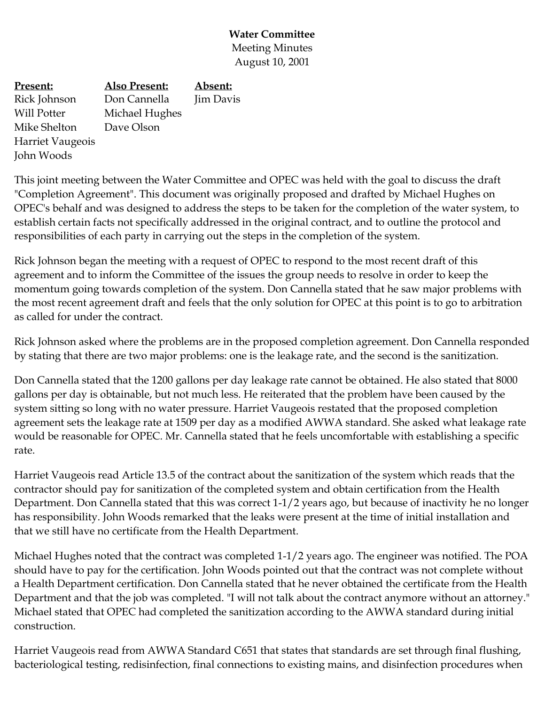## **Water Committee** Meeting Minutes August 10, 2001

| <b>Present:</b>         | <b>Also Present:</b> | Absent:   |
|-------------------------|----------------------|-----------|
| Rick Johnson            | Don Cannella         | Jim Davis |
| Will Potter             | Michael Hughes       |           |
| Mike Shelton            | Dave Olson           |           |
| <b>Harriet Vaugeois</b> |                      |           |
| John Woods              |                      |           |

This joint meeting between the Water Committee and OPEC was held with the goal to discuss the draft "Completion Agreement". This document was originally proposed and drafted by Michael Hughes on OPEC's behalf and was designed to address the steps to be taken for the completion of the water system, to establish certain facts not specifically addressed in the original contract, and to outline the protocol and responsibilities of each party in carrying out the steps in the completion of the system.

Rick Johnson began the meeting with a request of OPEC to respond to the most recent draft of this agreement and to inform the Committee of the issues the group needs to resolve in order to keep the momentum going towards completion of the system. Don Cannella stated that he saw major problems with the most recent agreement draft and feels that the only solution for OPEC at this point is to go to arbitration as called for under the contract.

Rick Johnson asked where the problems are in the proposed completion agreement. Don Cannella responded by stating that there are two major problems: one is the leakage rate, and the second is the sanitization.

Don Cannella stated that the 1200 gallons per day leakage rate cannot be obtained. He also stated that 8000 gallons per day is obtainable, but not much less. He reiterated that the problem have been caused by the system sitting so long with no water pressure. Harriet Vaugeois restated that the proposed completion agreement sets the leakage rate at 1509 per day as a modified AWWA standard. She asked what leakage rate would be reasonable for OPEC. Mr. Cannella stated that he feels uncomfortable with establishing a specific rate.

Harriet Vaugeois read Article 13.5 of the contract about the sanitization of the system which reads that the contractor should pay for sanitization of the completed system and obtain certification from the Health Department. Don Cannella stated that this was correct 1-1/2 years ago, but because of inactivity he no longer has responsibility. John Woods remarked that the leaks were present at the time of initial installation and that we still have no certificate from the Health Department.

Michael Hughes noted that the contract was completed 1-1/2 years ago. The engineer was notified. The POA should have to pay for the certification. John Woods pointed out that the contract was not complete without a Health Department certification. Don Cannella stated that he never obtained the certificate from the Health Department and that the job was completed. "I will not talk about the contract anymore without an attorney." Michael stated that OPEC had completed the sanitization according to the AWWA standard during initial construction.

Harriet Vaugeois read from AWWA Standard C651 that states that standards are set through final flushing, bacteriological testing, redisinfection, final connections to existing mains, and disinfection procedures when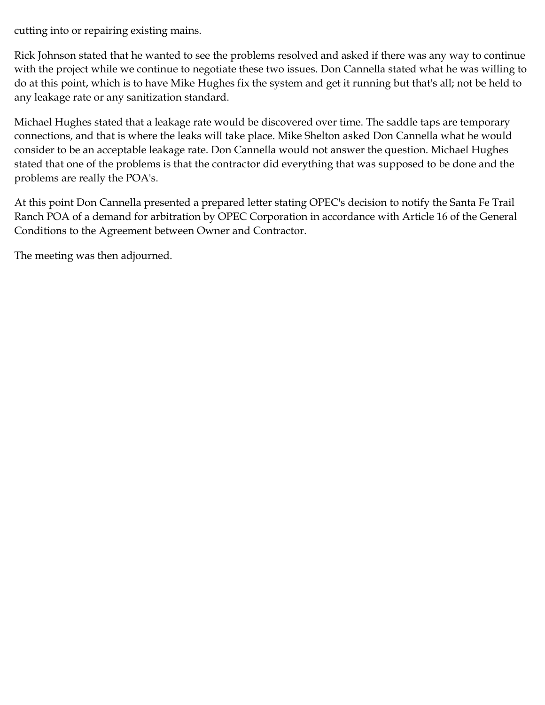cutting into or repairing existing mains.

Rick Johnson stated that he wanted to see the problems resolved and asked if there was any way to continue with the project while we continue to negotiate these two issues. Don Cannella stated what he was willing to do at this point, which is to have Mike Hughes fix the system and get it running but that's all; not be held to any leakage rate or any sanitization standard.

Michael Hughes stated that a leakage rate would be discovered over time. The saddle taps are temporary connections, and that is where the leaks will take place. Mike Shelton asked Don Cannella what he would consider to be an acceptable leakage rate. Don Cannella would not answer the question. Michael Hughes stated that one of the problems is that the contractor did everything that was supposed to be done and the problems are really the POA's.

At this point Don Cannella presented a prepared letter stating OPEC's decision to notify the Santa Fe Trail Ranch POA of a demand for arbitration by OPEC Corporation in accordance with Article 16 of the General Conditions to the Agreement between Owner and Contractor.

The meeting was then adjourned.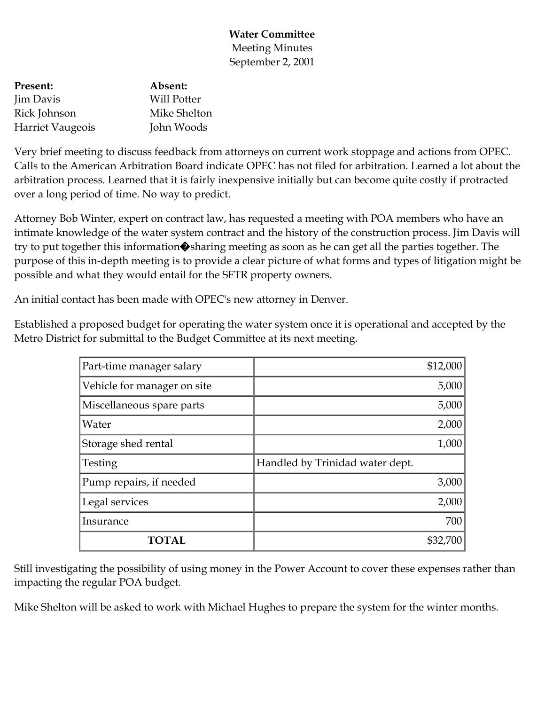### **Water Committee** Meeting Minutes September 2, 2001

| <u>Present:</u>         | Absent:            |
|-------------------------|--------------------|
| Jim Davis               | <b>Will Potter</b> |
| Rick Johnson            | Mike Shelton       |
| <b>Harriet Vaugeois</b> | John Woods         |

Very brief meeting to discuss feedback from attorneys on current work stoppage and actions from OPEC. Calls to the American Arbitration Board indicate OPEC has not filed for arbitration. Learned a lot about the arbitration process. Learned that it is fairly inexpensive initially but can become quite costly if protracted over a long period of time. No way to predict.

Attorney Bob Winter, expert on contract law, has requested a meeting with POA members who have an intimate knowledge of the water system contract and the history of the construction process. Jim Davis will try to put together this information�sharing meeting as soon as he can get all the parties together. The purpose of this in-depth meeting is to provide a clear picture of what forms and types of litigation might be possible and what they would entail for the SFTR property owners.

An initial contact has been made with OPEC's new attorney in Denver.

Established a proposed budget for operating the water system once it is operational and accepted by the Metro District for submittal to the Budget Committee at its next meeting.

| Part-time manager salary    | \$12,000                        |
|-----------------------------|---------------------------------|
| Vehicle for manager on site | 5,000                           |
| Miscellaneous spare parts   | 5,000                           |
| Water                       | 2,000                           |
| Storage shed rental         | 1,000                           |
| Testing                     | Handled by Trinidad water dept. |
| Pump repairs, if needed     | 3,000                           |
| Legal services              | 2,000                           |
| Insurance                   | 700                             |
|                             | \$32,700                        |

Still investigating the possibility of using money in the Power Account to cover these expenses rather than impacting the regular POA budget.

Mike Shelton will be asked to work with Michael Hughes to prepare the system for the winter months.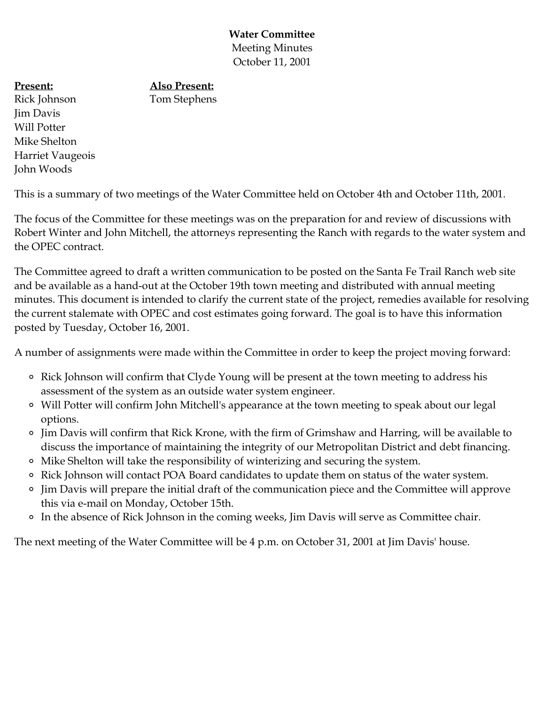**Water Committee** Meeting Minutes October 11, 2001

#### **Also Present:**

**Present:** Rick Johnson Jim Davis Will Potter Mike Shelton Harriet Vaugeois John Woods

Tom Stephens

This is a summary of two meetings of the Water Committee held on October 4th and October 11th, 2001.

The focus of the Committee for these meetings was on the preparation for and review of discussions with Robert Winter and John Mitchell, the attorneys representing the Ranch with regards to the water system and the OPEC contract.

The Committee agreed to draft a written communication to be posted on the Santa Fe Trail Ranch web site and be available as a hand-out at the October 19th town meeting and distributed with annual meeting minutes. This document is intended to clarify the current state of the project, remedies available for resolving the current stalemate with OPEC and cost estimates going forward. The goal is to have this information posted by Tuesday, October 16, 2001.

A number of assignments were made within the Committee in order to keep the project moving forward:

- Rick Johnson will confirm that Clyde Young will be present at the town meeting to address his assessment of the system as an outside water system engineer.
- Will Potter will confirm John Mitchell's appearance at the town meeting to speak about our legal options.
- Jim Davis will confirm that Rick Krone, with the firm of Grimshaw and Harring, will be available to discuss the importance of maintaining the integrity of our Metropolitan District and debt financing.
- Mike Shelton will take the responsibility of winterizing and securing the system.
- <sup>o</sup> Rick Johnson will contact POA Board candidates to update them on status of the water system.
- Jim Davis will prepare the initial draft of the communication piece and the Committee will approve this via e-mail on Monday, October 15th.
- In the absence of Rick Johnson in the coming weeks, Jim Davis will serve as Committee chair.

The next meeting of the Water Committee will be 4 p.m. on October 31, 2001 at Jim Davis' house.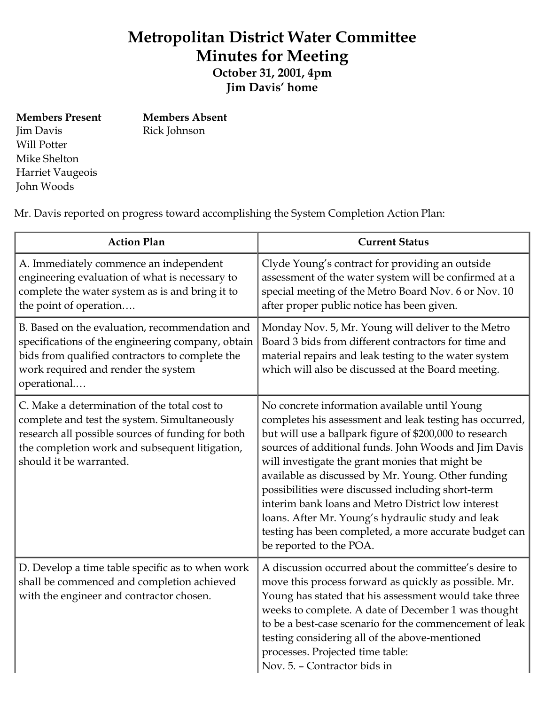# **Metropolitan District Water Committee Minutes for Meeting**

**October 31, 2001, 4pm Jim Davis' home**

**Members Present** Jim Davis Will Potter Mike Shelton Harriet Vaugeois John Woods

**Members Absent** Rick Johnson

Mr. Davis reported on progress toward accomplishing the System Completion Action Plan:

| <b>Action Plan</b>                                                                                                                                                                                                             | <b>Current Status</b>                                                                                                                                                                                                                                                                                                                                                                                                                                                                                                                                                                      |
|--------------------------------------------------------------------------------------------------------------------------------------------------------------------------------------------------------------------------------|--------------------------------------------------------------------------------------------------------------------------------------------------------------------------------------------------------------------------------------------------------------------------------------------------------------------------------------------------------------------------------------------------------------------------------------------------------------------------------------------------------------------------------------------------------------------------------------------|
| A. Immediately commence an independent<br>engineering evaluation of what is necessary to<br>complete the water system as is and bring it to<br>the point of operation                                                          | Clyde Young's contract for providing an outside<br>assessment of the water system will be confirmed at a<br>special meeting of the Metro Board Nov. 6 or Nov. 10<br>after proper public notice has been given.                                                                                                                                                                                                                                                                                                                                                                             |
| B. Based on the evaluation, recommendation and<br>specifications of the engineering company, obtain<br>bids from qualified contractors to complete the<br>work required and render the system<br>operational                   | Monday Nov. 5, Mr. Young will deliver to the Metro<br>Board 3 bids from different contractors for time and<br>material repairs and leak testing to the water system<br>which will also be discussed at the Board meeting.                                                                                                                                                                                                                                                                                                                                                                  |
| C. Make a determination of the total cost to<br>complete and test the system. Simultaneously<br>research all possible sources of funding for both<br>the completion work and subsequent litigation,<br>should it be warranted. | No concrete information available until Young<br>completes his assessment and leak testing has occurred,<br>but will use a ballpark figure of \$200,000 to research<br>sources of additional funds. John Woods and Jim Davis<br>will investigate the grant monies that might be<br>available as discussed by Mr. Young. Other funding<br>possibilities were discussed including short-term<br>interim bank loans and Metro District low interest<br>loans. After Mr. Young's hydraulic study and leak<br>testing has been completed, a more accurate budget can<br>be reported to the POA. |
| D. Develop a time table specific as to when work<br>shall be commenced and completion achieved<br>with the engineer and contractor chosen.                                                                                     | A discussion occurred about the committee's desire to<br>move this process forward as quickly as possible. Mr.<br>Young has stated that his assessment would take three<br>weeks to complete. A date of December 1 was thought<br>to be a best-case scenario for the commencement of leak<br>testing considering all of the above-mentioned<br>processes. Projected time table:<br>Nov. 5. - Contractor bids in                                                                                                                                                                            |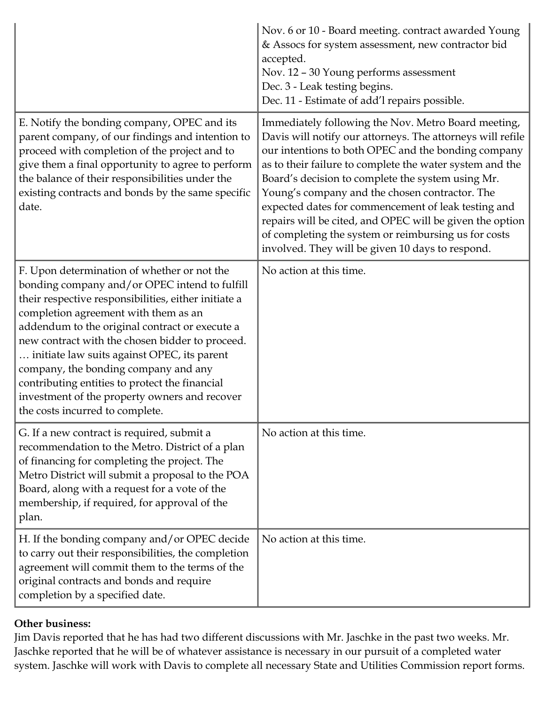|                                                                                                                                                                                                                                                                                                                                                                                                                                                                                                                                | Nov. 6 or 10 - Board meeting. contract awarded Young<br>& Assocs for system assessment, new contractor bid<br>accepted.<br>Nov. 12 - 30 Young performs assessment<br>Dec. 3 - Leak testing begins.<br>Dec. 11 - Estimate of add'l repairs possible.                                                                                                                                                                                                                                                                                                                        |
|--------------------------------------------------------------------------------------------------------------------------------------------------------------------------------------------------------------------------------------------------------------------------------------------------------------------------------------------------------------------------------------------------------------------------------------------------------------------------------------------------------------------------------|----------------------------------------------------------------------------------------------------------------------------------------------------------------------------------------------------------------------------------------------------------------------------------------------------------------------------------------------------------------------------------------------------------------------------------------------------------------------------------------------------------------------------------------------------------------------------|
| E. Notify the bonding company, OPEC and its<br>parent company, of our findings and intention to<br>proceed with completion of the project and to<br>give them a final opportunity to agree to perform<br>the balance of their responsibilities under the<br>existing contracts and bonds by the same specific<br>date.                                                                                                                                                                                                         | Immediately following the Nov. Metro Board meeting,<br>Davis will notify our attorneys. The attorneys will refile<br>our intentions to both OPEC and the bonding company<br>as to their failure to complete the water system and the<br>Board's decision to complete the system using Mr.<br>Young's company and the chosen contractor. The<br>expected dates for commencement of leak testing and<br>repairs will be cited, and OPEC will be given the option<br>of completing the system or reimbursing us for costs<br>involved. They will be given 10 days to respond. |
| F. Upon determination of whether or not the<br>bonding company and/or OPEC intend to fulfill<br>their respective responsibilities, either initiate a<br>completion agreement with them as an<br>addendum to the original contract or execute a<br>new contract with the chosen bidder to proceed.<br>initiate law suits against OPEC, its parent<br>company, the bonding company and any<br>contributing entities to protect the financial<br>investment of the property owners and recover<br>the costs incurred to complete. | No action at this time.                                                                                                                                                                                                                                                                                                                                                                                                                                                                                                                                                    |
| G. If a new contract is required, submit a<br>recommendation to the Metro. District of a plan<br>of financing for completing the project. The<br>Metro District will submit a proposal to the POA<br>Board, along with a request for a vote of the<br>membership, if required, for approval of the<br>plan.                                                                                                                                                                                                                    | No action at this time.                                                                                                                                                                                                                                                                                                                                                                                                                                                                                                                                                    |
| H. If the bonding company and/or OPEC decide<br>to carry out their responsibilities, the completion<br>agreement will commit them to the terms of the<br>original contracts and bonds and require<br>completion by a specified date.                                                                                                                                                                                                                                                                                           | No action at this time.                                                                                                                                                                                                                                                                                                                                                                                                                                                                                                                                                    |

## **Other business:**

Jim Davis reported that he has had two different discussions with Mr. Jaschke in the past two weeks. Mr. Jaschke reported that he will be of whatever assistance is necessary in our pursuit of a completed water system. Jaschke will work with Davis to complete all necessary State and Utilities Commission report forms.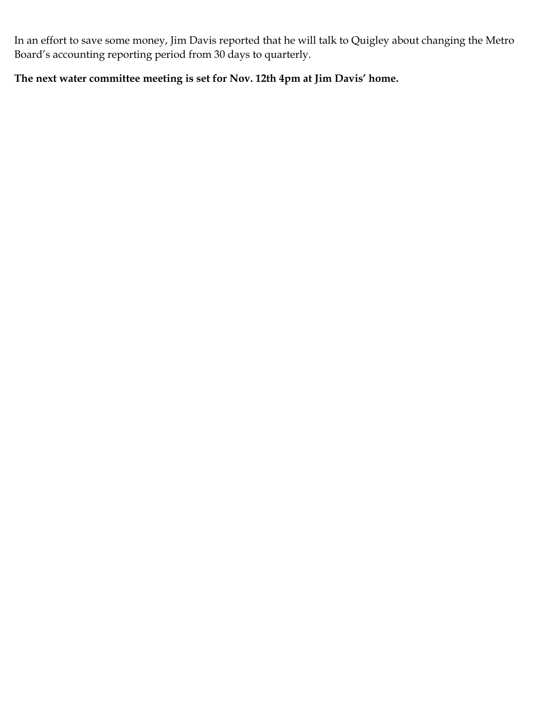In an effort to save some money, Jim Davis reported that he will talk to Quigley about changing the Metro Board's accounting reporting period from 30 days to quarterly.

#### **The next water committee meeting is set for Nov. 12th 4pm at Jim Davis' home.**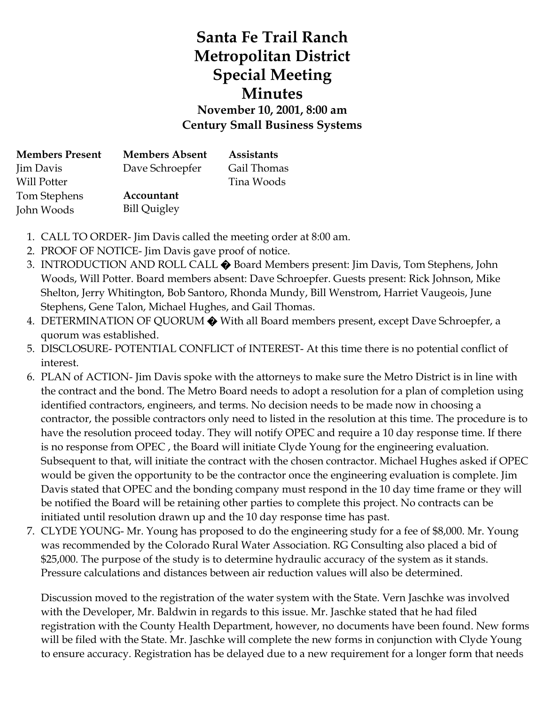# **Santa Fe Trail Ranch Metropolitan District Special Meeting Minutes November 10, 2001, 8:00 am Century Small Business Systems**

| <b>Members Present</b> | <b>Members Absent</b> | <b>Assistants</b> |
|------------------------|-----------------------|-------------------|
| Jim Davis              | Dave Schroepfer       | Gail Thomas       |
| Will Potter            |                       | Tina Woods        |
| Tom Stephens           | Accountant            |                   |
| John Woods             | <b>Bill Quigley</b>   |                   |

- 1. CALL TO ORDER- Jim Davis called the meeting order at 8:00 am.
- 2. PROOF OF NOTICE- Jim Davis gave proof of notice.
- 3. INTRODUCTION AND ROLL CALL � Board Members present: Jim Davis, Tom Stephens, John Woods, Will Potter. Board members absent: Dave Schroepfer. Guests present: Rick Johnson, Mike Shelton, Jerry Whitington, Bob Santoro, Rhonda Mundy, Bill Wenstrom, Harriet Vaugeois, June Stephens, Gene Talon, Michael Hughes, and Gail Thomas.
- 4. DETERMINATION OF QUORUM  $\bigcirc$  With all Board members present, except Dave Schroepfer, a quorum was established.
- 5. DISCLOSURE- POTENTIAL CONFLICT of INTEREST- At this time there is no potential conflict of interest.
- 6. PLAN of ACTION- Jim Davis spoke with the attorneys to make sure the Metro District is in line with the contract and the bond. The Metro Board needs to adopt a resolution for a plan of completion using identified contractors, engineers, and terms. No decision needs to be made now in choosing a contractor, the possible contractors only need to listed in the resolution at this time. The procedure is to have the resolution proceed today. They will notify OPEC and require a 10 day response time. If there is no response from OPEC , the Board will initiate Clyde Young for the engineering evaluation. Subsequent to that, will initiate the contract with the chosen contractor. Michael Hughes asked if OPEC would be given the opportunity to be the contractor once the engineering evaluation is complete. Jim Davis stated that OPEC and the bonding company must respond in the 10 day time frame or they will be notified the Board will be retaining other parties to complete this project. No contracts can be initiated until resolution drawn up and the 10 day response time has past.
- 7. CLYDE YOUNG- Mr. Young has proposed to do the engineering study for a fee of \$8,000. Mr. Young was recommended by the Colorado Rural Water Association. RG Consulting also placed a bid of \$25,000. The purpose of the study is to determine hydraulic accuracy of the system as it stands. Pressure calculations and distances between air reduction values will also be determined.

Discussion moved to the registration of the water system with the State. Vern Jaschke was involved with the Developer, Mr. Baldwin in regards to this issue. Mr. Jaschke stated that he had filed registration with the County Health Department, however, no documents have been found. New forms will be filed with the State. Mr. Jaschke will complete the new forms in conjunction with Clyde Young to ensure accuracy. Registration has be delayed due to a new requirement for a longer form that needs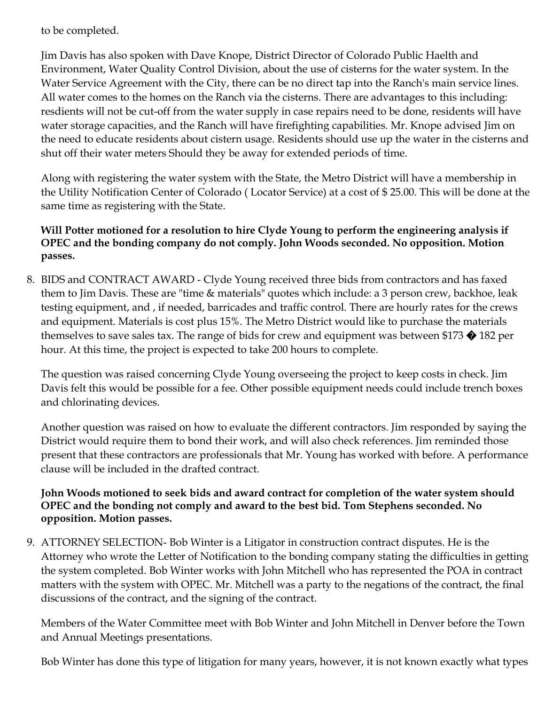to be completed.

Jim Davis has also spoken with Dave Knope, District Director of Colorado Public Haelth and Environment, Water Quality Control Division, about the use of cisterns for the water system. In the Water Service Agreement with the City, there can be no direct tap into the Ranch's main service lines. All water comes to the homes on the Ranch via the cisterns. There are advantages to this including: resdients will not be cut-off from the water supply in case repairs need to be done, residents will have water storage capacities, and the Ranch will have firefighting capabilities. Mr. Knope advised Jim on the need to educate residents about cistern usage. Residents should use up the water in the cisterns and shut off their water meters Should they be away for extended periods of time.

Along with registering the water system with the State, the Metro District will have a membership in the Utility Notification Center of Colorado ( Locator Service) at a cost of \$ 25.00. This will be done at the same time as registering with the State.

#### **Will Potter motioned for a resolution to hire Clyde Young to perform the engineering analysis if OPEC and the bonding company do not comply. John Woods seconded. No opposition. Motion passes.**

8. BIDS and CONTRACT AWARD - Clyde Young received three bids from contractors and has faxed them to Jim Davis. These are "time & materials" quotes which include: a 3 person crew, backhoe, leak testing equipment, and , if needed, barricades and traffic control. There are hourly rates for the crews and equipment. Materials is cost plus 15%. The Metro District would like to purchase the materials themselves to save sales tax. The range of bids for crew and equipment was between \$173  $\bigcirc$  182 per hour. At this time, the project is expected to take 200 hours to complete.

The question was raised concerning Clyde Young overseeing the project to keep costs in check. Jim Davis felt this would be possible for a fee. Other possible equipment needs could include trench boxes and chlorinating devices.

Another question was raised on how to evaluate the different contractors. Jim responded by saying the District would require them to bond their work, and will also check references. Jim reminded those present that these contractors are professionals that Mr. Young has worked with before. A performance clause will be included in the drafted contract.

#### **John Woods motioned to seek bids and award contract for completion of the water system should OPEC and the bonding not comply and award to the best bid. Tom Stephens seconded. No opposition. Motion passes.**

9. ATTORNEY SELECTION- Bob Winter is a Litigator in construction contract disputes. He is the Attorney who wrote the Letter of Notification to the bonding company stating the difficulties in getting the system completed. Bob Winter works with John Mitchell who has represented the POA in contract matters with the system with OPEC. Mr. Mitchell was a party to the negations of the contract, the final discussions of the contract, and the signing of the contract.

Members of the Water Committee meet with Bob Winter and John Mitchell in Denver before the Town and Annual Meetings presentations.

Bob Winter has done this type of litigation for many years, however, it is not known exactly what types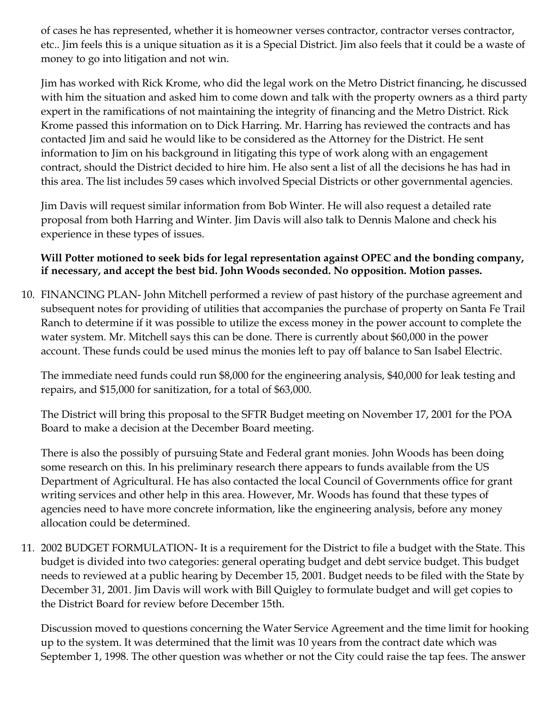of cases he has represented, whether it is homeowner verses contractor, contractor verses contractor, etc.. Jim feels this is a unique situation as it is a Special District. Jim also feels that it could be a waste of money to go into litigation and not win.

Jim has worked with Rick Krome, who did the legal work on the Metro District financing, he discussed with him the situation and asked him to come down and talk with the property owners as a third party expert in the ramifications of not maintaining the integrity of financing and the Metro District. Rick Krome passed this information on to Dick Harring. Mr. Harring has reviewed the contracts and has contacted Jim and said he would like to be considered as the Attorney for the District. He sent information to Jim on his background in litigating this type of work along with an engagement contract, should the District decided to hire him. He also sent a list of all the decisions he has had in this area. The list includes 59 cases which involved Special Districts or other governmental agencies.

Jim Davis will request similar information from Bob Winter. He will also request a detailed rate proposal from both Harring and Winter. Jim Davis will also talk to Dennis Malone and check his experience in these types of issues.

#### **Will Potter motioned to seek bids for legal representation against OPEC and the bonding company, if necessary, and accept the best bid. John Woods seconded. No opposition. Motion passes.**

10. FINANCING PLAN- John Mitchell performed a review of past history of the purchase agreement and subsequent notes for providing of utilities that accompanies the purchase of property on Santa Fe Trail Ranch to determine if it was possible to utilize the excess money in the power account to complete the water system. Mr. Mitchell says this can be done. There is currently about \$60,000 in the power account. These funds could be used minus the monies left to pay off balance to San Isabel Electric.

The immediate need funds could run \$8,000 for the engineering analysis, \$40,000 for leak testing and repairs, and \$15,000 for sanitization, for a total of \$63,000.

The District will bring this proposal to the SFTR Budget meeting on November 17, 2001 for the POA Board to make a decision at the December Board meeting.

There is also the possibly of pursuing State and Federal grant monies. John Woods has been doing some research on this. In his preliminary research there appears to funds available from the US Department of Agricultural. He has also contacted the local Council of Governments office for grant writing services and other help in this area. However, Mr. Woods has found that these types of agencies need to have more concrete information, like the engineering analysis, before any money allocation could be determined.

11. 2002 BUDGET FORMULATION- It is a requirement for the District to file a budget with the State. This budget is divided into two categories: general operating budget and debt service budget. This budget needs to reviewed at a public hearing by December 15, 2001. Budget needs to be filed with the State by December 31, 2001. Jim Davis will work with Bill Quigley to formulate budget and will get copies to the District Board for review before December 15th.

Discussion moved to questions concerning the Water Service Agreement and the time limit for hooking up to the system. It was determined that the limit was 10 years from the contract date which was September 1, 1998. The other question was whether or not the City could raise the tap fees. The answer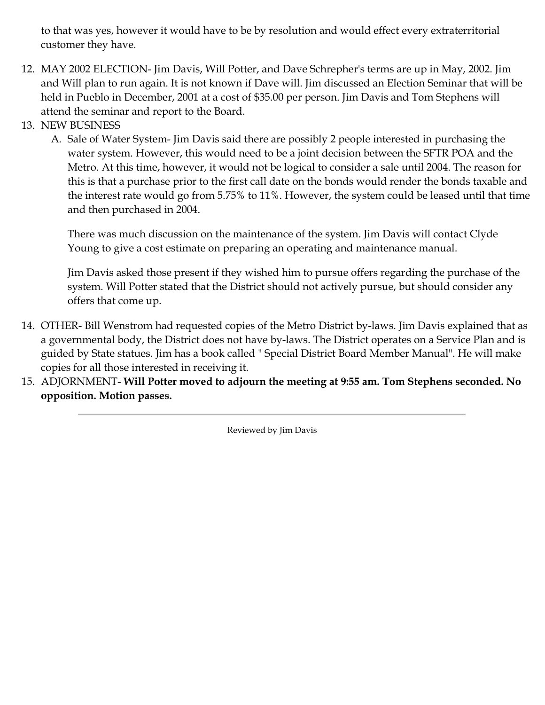to that was yes, however it would have to be by resolution and would effect every extraterritorial customer they have.

- 12. MAY 2002 ELECTION- Jim Davis, Will Potter, and Dave Schrepher's terms are up in May, 2002. Jim and Will plan to run again. It is not known if Dave will. Jim discussed an Election Seminar that will be held in Pueblo in December, 2001 at a cost of \$35.00 per person. Jim Davis and Tom Stephens will attend the seminar and report to the Board.
- 13. NEW BUSINESS
	- A. Sale of Water System- Jim Davis said there are possibly 2 people interested in purchasing the water system. However, this would need to be a joint decision between the SFTR POA and the Metro. At this time, however, it would not be logical to consider a sale until 2004. The reason for this is that a purchase prior to the first call date on the bonds would render the bonds taxable and the interest rate would go from 5.75% to 11%. However, the system could be leased until that time and then purchased in 2004.

There was much discussion on the maintenance of the system. Jim Davis will contact Clyde Young to give a cost estimate on preparing an operating and maintenance manual.

Jim Davis asked those present if they wished him to pursue offers regarding the purchase of the system. Will Potter stated that the District should not actively pursue, but should consider any offers that come up.

- 14. OTHER- Bill Wenstrom had requested copies of the Metro District by-laws. Jim Davis explained that as a governmental body, the District does not have by-laws. The District operates on a Service Plan and is guided by State statues. Jim has a book called " Special District Board Member Manual". He will make copies for all those interested in receiving it.
- 15. ADJORNMENT- **Will Potter moved to adjourn the meeting at 9:55 am. Tom Stephens seconded. No opposition. Motion passes.**

Reviewed by Jim Davis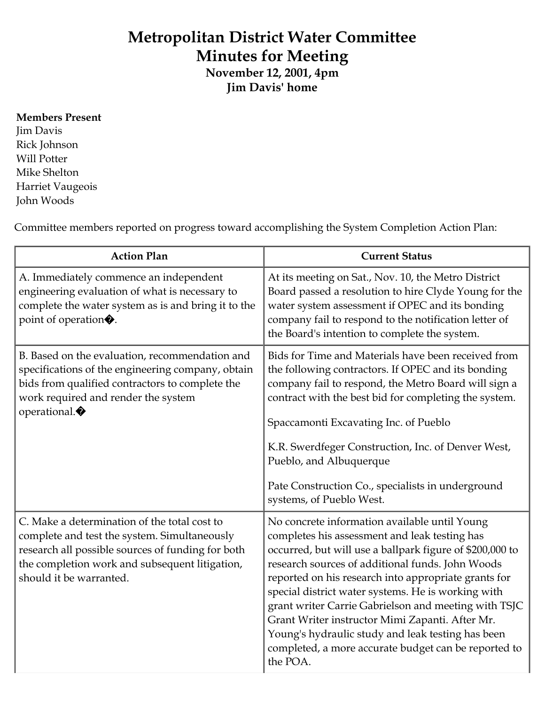# **Metropolitan District Water Committee Minutes for Meeting**

**November 12, 2001, 4pm Jim Davis' home**

#### **Members Present**

Jim Davis Rick Johnson Will Potter Mike Shelton Harriet Vaugeois John Woods

Committee members reported on progress toward accomplishing the System Completion Action Plan:

| <b>Action Plan</b>                                                                                                                                                                                                             | <b>Current Status</b>                                                                                                                                                                                                                                                                                                                                                                                                                                                                                                                                            |
|--------------------------------------------------------------------------------------------------------------------------------------------------------------------------------------------------------------------------------|------------------------------------------------------------------------------------------------------------------------------------------------------------------------------------------------------------------------------------------------------------------------------------------------------------------------------------------------------------------------------------------------------------------------------------------------------------------------------------------------------------------------------------------------------------------|
| A. Immediately commence an independent<br>engineering evaluation of what is necessary to<br>complete the water system as is and bring it to the<br>point of operation.                                                         | At its meeting on Sat., Nov. 10, the Metro District<br>Board passed a resolution to hire Clyde Young for the<br>water system assessment if OPEC and its bonding<br>company fail to respond to the notification letter of<br>the Board's intention to complete the system.                                                                                                                                                                                                                                                                                        |
| B. Based on the evaluation, recommendation and<br>specifications of the engineering company, obtain<br>bids from qualified contractors to complete the<br>work required and render the system<br>operational.                  | Bids for Time and Materials have been received from<br>the following contractors. If OPEC and its bonding<br>company fail to respond, the Metro Board will sign a<br>contract with the best bid for completing the system.<br>Spaccamonti Excavating Inc. of Pueblo<br>K.R. Swerdfeger Construction, Inc. of Denver West,<br>Pueblo, and Albuquerque<br>Pate Construction Co., specialists in underground<br>systems, of Pueblo West.                                                                                                                            |
| C. Make a determination of the total cost to<br>complete and test the system. Simultaneously<br>research all possible sources of funding for both<br>the completion work and subsequent litigation,<br>should it be warranted. | No concrete information available until Young<br>completes his assessment and leak testing has<br>occurred, but will use a ballpark figure of \$200,000 to<br>research sources of additional funds. John Woods<br>reported on his research into appropriate grants for<br>special district water systems. He is working with<br>grant writer Carrie Gabrielson and meeting with TSJC<br>Grant Writer instructor Mimi Zapanti. After Mr.<br>Young's hydraulic study and leak testing has been<br>completed, a more accurate budget can be reported to<br>the POA. |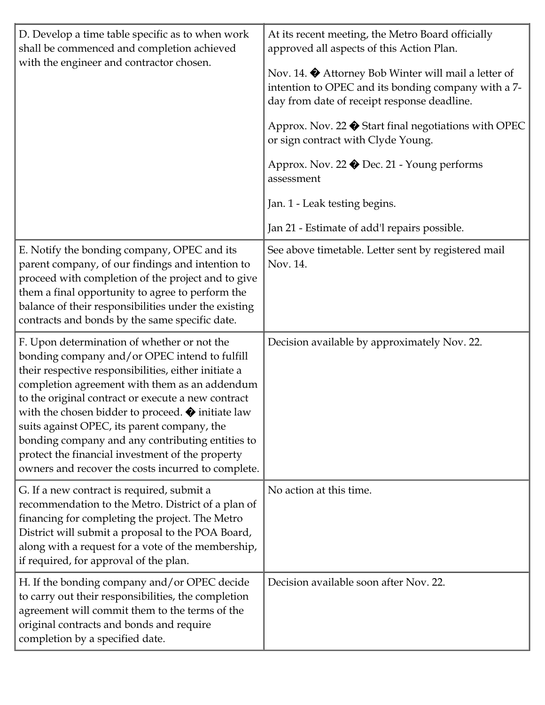| D. Develop a time table specific as to when work<br>shall be commenced and completion achieved<br>with the engineer and contractor chosen.                                                                                                                                                                                                                                                                                                                                                                                                  | At its recent meeting, the Metro Board officially<br>approved all aspects of this Action Plan.<br>Nov. 14. $\bullet$ Attorney Bob Winter will mail a letter of<br>intention to OPEC and its bonding company with a 7-<br>day from date of receipt response deadline.<br>Approx. Nov. 22 ♦ Start final negotiations with OPEC<br>or sign contract with Clyde Young.<br>Approx. Nov. 22 ♦ Dec. 21 - Young performs<br>assessment<br>Jan. 1 - Leak testing begins. |
|---------------------------------------------------------------------------------------------------------------------------------------------------------------------------------------------------------------------------------------------------------------------------------------------------------------------------------------------------------------------------------------------------------------------------------------------------------------------------------------------------------------------------------------------|-----------------------------------------------------------------------------------------------------------------------------------------------------------------------------------------------------------------------------------------------------------------------------------------------------------------------------------------------------------------------------------------------------------------------------------------------------------------|
|                                                                                                                                                                                                                                                                                                                                                                                                                                                                                                                                             | Jan 21 - Estimate of add'l repairs possible.                                                                                                                                                                                                                                                                                                                                                                                                                    |
| E. Notify the bonding company, OPEC and its<br>parent company, of our findings and intention to<br>proceed with completion of the project and to give<br>them a final opportunity to agree to perform the<br>balance of their responsibilities under the existing<br>contracts and bonds by the same specific date.                                                                                                                                                                                                                         | See above timetable. Letter sent by registered mail<br>Nov. 14.                                                                                                                                                                                                                                                                                                                                                                                                 |
| F. Upon determination of whether or not the<br>bonding company and/or OPEC intend to fulfill<br>their respective responsibilities, either initiate a<br>completion agreement with them as an addendum<br>to the original contract or execute a new contract<br>with the chosen bidder to proceed. $\blacklozenge$ initiate law<br>suits against OPEC, its parent company, the<br>bonding company and any contributing entities to<br>protect the financial investment of the property<br>owners and recover the costs incurred to complete. | Decision available by approximately Nov. 22.                                                                                                                                                                                                                                                                                                                                                                                                                    |
| G. If a new contract is required, submit a<br>recommendation to the Metro. District of a plan of<br>financing for completing the project. The Metro<br>District will submit a proposal to the POA Board,<br>along with a request for a vote of the membership,<br>if required, for approval of the plan.                                                                                                                                                                                                                                    | No action at this time.                                                                                                                                                                                                                                                                                                                                                                                                                                         |
| H. If the bonding company and/or OPEC decide<br>to carry out their responsibilities, the completion<br>agreement will commit them to the terms of the<br>original contracts and bonds and require<br>completion by a specified date.                                                                                                                                                                                                                                                                                                        | Decision available soon after Nov. 22.                                                                                                                                                                                                                                                                                                                                                                                                                          |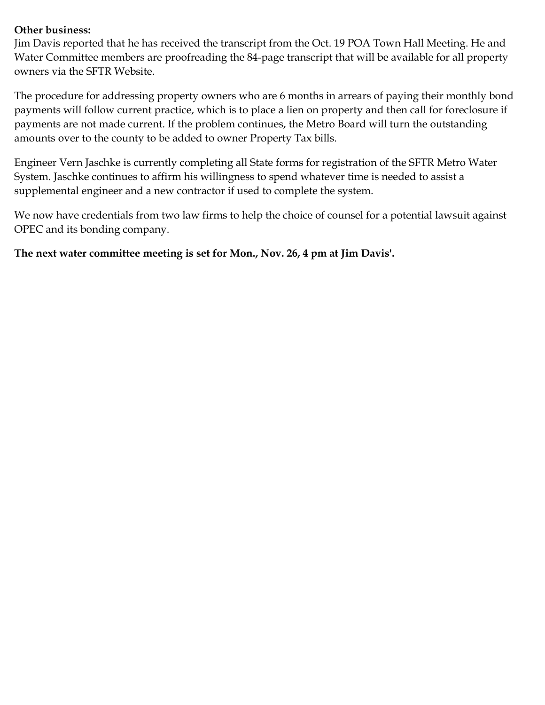#### **Other business:**

Jim Davis reported that he has received the transcript from the Oct. 19 POA Town Hall Meeting. He and Water Committee members are proofreading the 84-page transcript that will be available for all property owners via the SFTR Website.

The procedure for addressing property owners who are 6 months in arrears of paying their monthly bond payments will follow current practice, which is to place a lien on property and then call for foreclosure if payments are not made current. If the problem continues, the Metro Board will turn the outstanding amounts over to the county to be added to owner Property Tax bills.

Engineer Vern Jaschke is currently completing all State forms for registration of the SFTR Metro Water System. Jaschke continues to affirm his willingness to spend whatever time is needed to assist a supplemental engineer and a new contractor if used to complete the system.

We now have credentials from two law firms to help the choice of counsel for a potential lawsuit against OPEC and its bonding company.

**The next water committee meeting is set for Mon., Nov. 26, 4 pm at Jim Davis'.**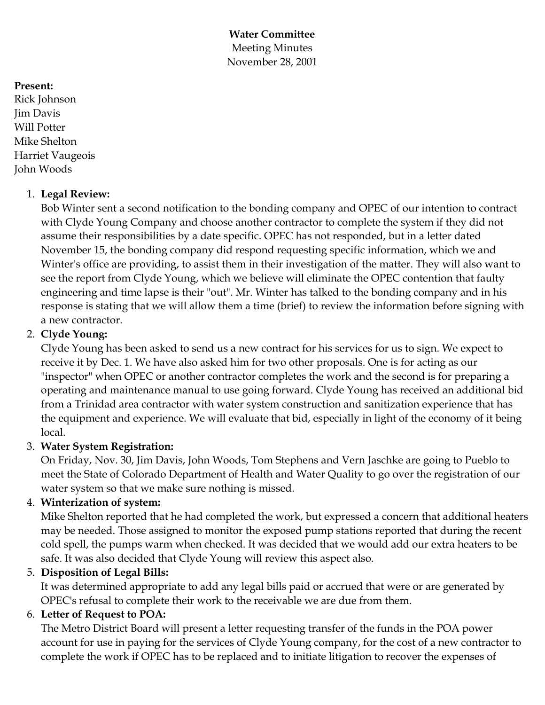**Water Committee** Meeting Minutes November 28, 2001

#### **Present:**

Rick Johnson Jim Davis Will Potter Mike Shelton Harriet Vaugeois John Woods

#### 1. **Legal Review:**

Bob Winter sent a second notification to the bonding company and OPEC of our intention to contract with Clyde Young Company and choose another contractor to complete the system if they did not assume their responsibilities by a date specific. OPEC has not responded, but in a letter dated November 15, the bonding company did respond requesting specific information, which we and Winter's office are providing, to assist them in their investigation of the matter. They will also want to see the report from Clyde Young, which we believe will eliminate the OPEC contention that faulty engineering and time lapse is their "out". Mr. Winter has talked to the bonding company and in his response is stating that we will allow them a time (brief) to review the information before signing with a new contractor.

## 2. **Clyde Young:**

Clyde Young has been asked to send us a new contract for his services for us to sign. We expect to receive it by Dec. 1. We have also asked him for two other proposals. One is for acting as our "inspector" when OPEC or another contractor completes the work and the second is for preparing a operating and maintenance manual to use going forward. Clyde Young has received an additional bid from a Trinidad area contractor with water system construction and sanitization experience that has the equipment and experience. We will evaluate that bid, especially in light of the economy of it being local.

## 3. **Water System Registration:**

On Friday, Nov. 30, Jim Davis, John Woods, Tom Stephens and Vern Jaschke are going to Pueblo to meet the State of Colorado Department of Health and Water Quality to go over the registration of our water system so that we make sure nothing is missed.

# 4. **Winterization of system:**

Mike Shelton reported that he had completed the work, but expressed a concern that additional heaters may be needed. Those assigned to monitor the exposed pump stations reported that during the recent cold spell, the pumps warm when checked. It was decided that we would add our extra heaters to be safe. It was also decided that Clyde Young will review this aspect also.

## 5. **Disposition of Legal Bills:**

It was determined appropriate to add any legal bills paid or accrued that were or are generated by OPEC's refusal to complete their work to the receivable we are due from them.

## 6. **Letter of Request to POA:**

The Metro District Board will present a letter requesting transfer of the funds in the POA power account for use in paying for the services of Clyde Young company, for the cost of a new contractor to complete the work if OPEC has to be replaced and to initiate litigation to recover the expenses of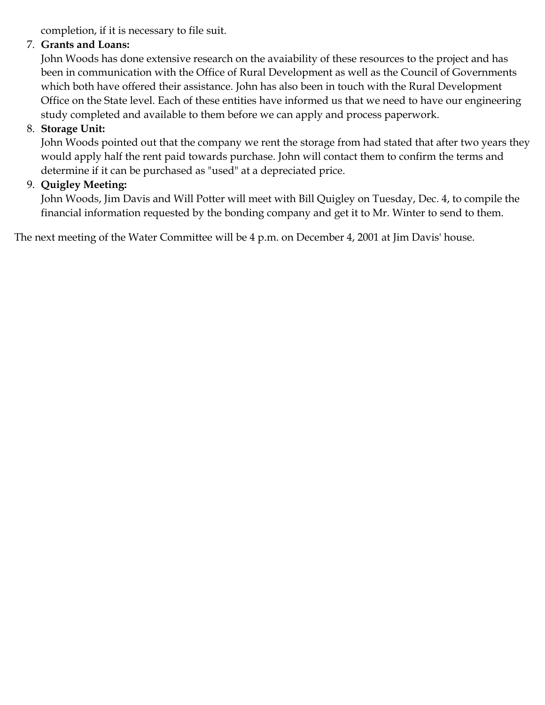completion, if it is necessary to file suit.

## 7. **Grants and Loans:**

John Woods has done extensive research on the avaiability of these resources to the project and has been in communication with the Office of Rural Development as well as the Council of Governments which both have offered their assistance. John has also been in touch with the Rural Development Office on the State level. Each of these entities have informed us that we need to have our engineering study completed and available to them before we can apply and process paperwork.

## 8. **Storage Unit:**

John Woods pointed out that the company we rent the storage from had stated that after two years they would apply half the rent paid towards purchase. John will contact them to confirm the terms and determine if it can be purchased as "used" at a depreciated price.

## 9. **Quigley Meeting:**

John Woods, Jim Davis and Will Potter will meet with Bill Quigley on Tuesday, Dec. 4, to compile the financial information requested by the bonding company and get it to Mr. Winter to send to them.

The next meeting of the Water Committee will be 4 p.m. on December 4, 2001 at Jim Davis' house.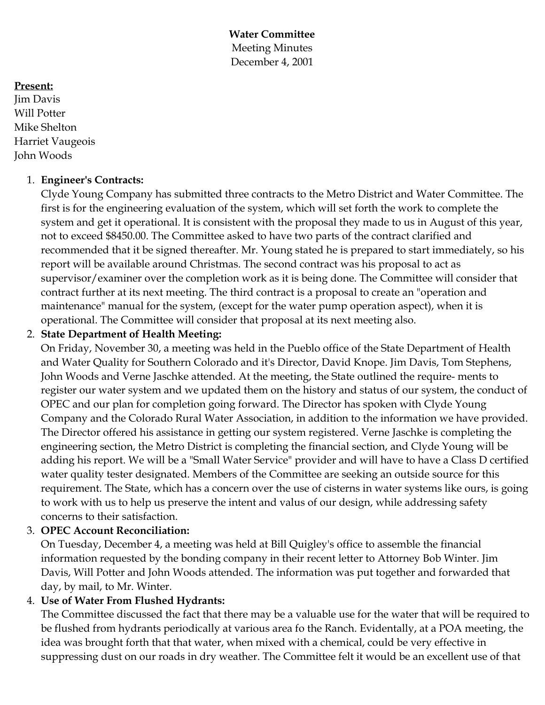**Water Committee** Meeting Minutes December 4, 2001

#### **Present:**

Jim Davis Will Potter Mike Shelton Harriet Vaugeois John Woods

#### 1. **Engineer's Contracts:**

Clyde Young Company has submitted three contracts to the Metro District and Water Committee. The first is for the engineering evaluation of the system, which will set forth the work to complete the system and get it operational. It is consistent with the proposal they made to us in August of this year, not to exceed \$8450.00. The Committee asked to have two parts of the contract clarified and recommended that it be signed thereafter. Mr. Young stated he is prepared to start immediately, so his report will be available around Christmas. The second contract was his proposal to act as supervisor/examiner over the completion work as it is being done. The Committee will consider that contract further at its next meeting. The third contract is a proposal to create an "operation and maintenance" manual for the system, (except for the water pump operation aspect), when it is operational. The Committee will consider that proposal at its next meeting also.

#### 2. **State Department of Health Meeting:**

On Friday, November 30, a meeting was held in the Pueblo office of the State Department of Health and Water Quality for Southern Colorado and it's Director, David Knope. Jim Davis, Tom Stephens, John Woods and Verne Jaschke attended. At the meeting, the State outlined the require- ments to register our water system and we updated them on the history and status of our system, the conduct of OPEC and our plan for completion going forward. The Director has spoken with Clyde Young Company and the Colorado Rural Water Association, in addition to the information we have provided. The Director offered his assistance in getting our system registered. Verne Jaschke is completing the engineering section, the Metro District is completing the financial section, and Clyde Young will be adding his report. We will be a "Small Water Service" provider and will have to have a Class D certified water quality tester designated. Members of the Committee are seeking an outside source for this requirement. The State, which has a concern over the use of cisterns in water systems like ours, is going to work with us to help us preserve the intent and valus of our design, while addressing safety concerns to their satisfaction.

## 3. **OPEC Account Reconciliation:**

On Tuesday, December 4, a meeting was held at Bill Quigley's office to assemble the financial information requested by the bonding company in their recent letter to Attorney Bob Winter. Jim Davis, Will Potter and John Woods attended. The information was put together and forwarded that day, by mail, to Mr. Winter.

## 4. **Use of Water From Flushed Hydrants:**

The Committee discussed the fact that there may be a valuable use for the water that will be required to be flushed from hydrants periodically at various area fo the Ranch. Evidentally, at a POA meeting, the idea was brought forth that that water, when mixed with a chemical, could be very effective in suppressing dust on our roads in dry weather. The Committee felt it would be an excellent use of that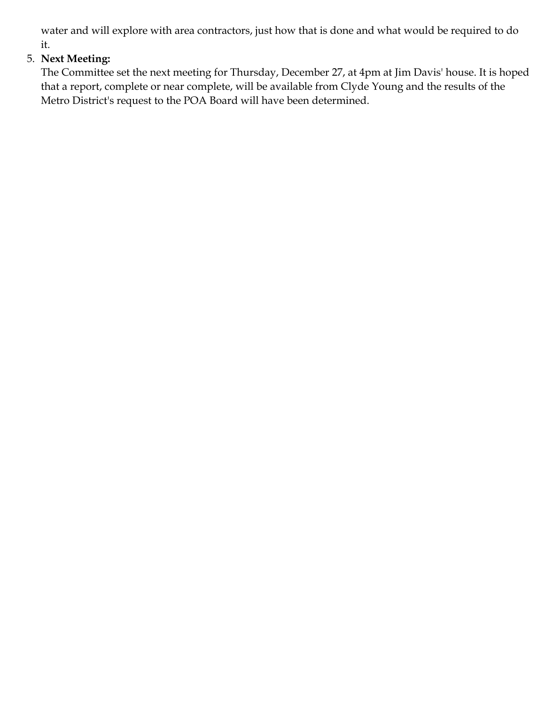water and will explore with area contractors, just how that is done and what would be required to do it.

# 5. **Next Meeting:**

The Committee set the next meeting for Thursday, December 27, at 4pm at Jim Davis' house. It is hoped that a report, complete or near complete, will be available from Clyde Young and the results of the Metro District's request to the POA Board will have been determined.